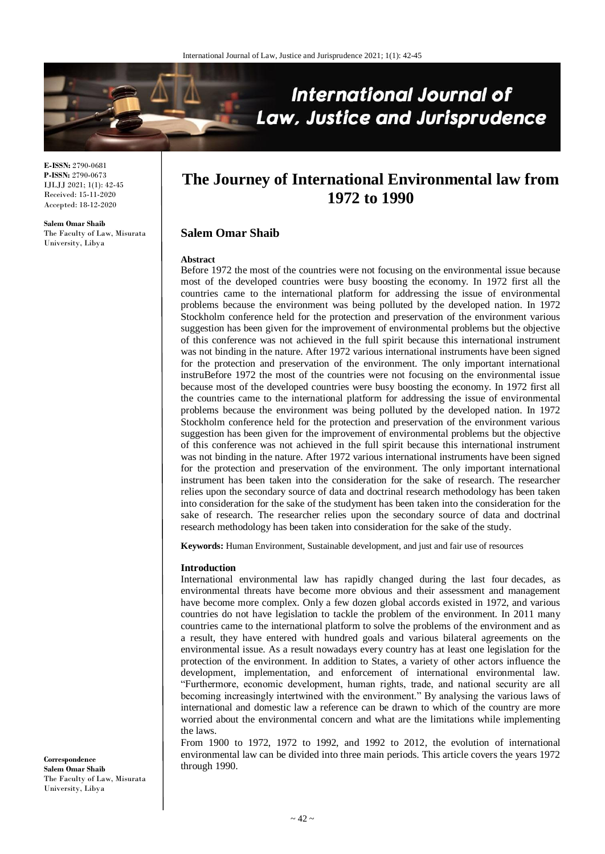

**E-ISSN:** 2790-0681 **P-ISSN:** 2790-0673 IJLJJ 2021; 1(1): 42-45 Received: 15-11-2020 Accepted: 18-12-2020

**Salem Omar Shaib** The Faculty of Law, Misurata University, Libya

# **The Journey of International Environmental law from 1972 to 1990**

## **Salem Omar Shaib**

#### **Abstract**

Before 1972 the most of the countries were not focusing on the environmental issue because most of the developed countries were busy boosting the economy. In 1972 first all the countries came to the international platform for addressing the issue of environmental problems because the environment was being polluted by the developed nation. In 1972 Stockholm conference held for the protection and preservation of the environment various suggestion has been given for the improvement of environmental problems but the objective of this conference was not achieved in the full spirit because this international instrument was not binding in the nature. After 1972 various international instruments have been signed for the protection and preservation of the environment. The only important international instruBefore 1972 the most of the countries were not focusing on the environmental issue because most of the developed countries were busy boosting the economy. In 1972 first all the countries came to the international platform for addressing the issue of environmental problems because the environment was being polluted by the developed nation. In 1972 Stockholm conference held for the protection and preservation of the environment various suggestion has been given for the improvement of environmental problems but the objective of this conference was not achieved in the full spirit because this international instrument was not binding in the nature. After 1972 various international instruments have been signed for the protection and preservation of the environment. The only important international instrument has been taken into the consideration for the sake of research. The researcher relies upon the secondary source of data and doctrinal research methodology has been taken into consideration for the sake of the studyment has been taken into the consideration for the sake of research. The researcher relies upon the secondary source of data and doctrinal research methodology has been taken into consideration for the sake of the study.

**Keywords:** Human Environment, Sustainable development, and just and fair use of resources

#### **Introduction**

International environmental law has rapidly changed during the last four decades, as environmental threats have become more obvious and their assessment and management have become more complex. Only a few dozen global accords existed in 1972, and various countries do not have legislation to tackle the problem of the environment. In 2011 many countries came to the international platform to solve the problems of the environment and as a result, they have entered with hundred goals and various bilateral agreements on the environmental issue. As a result nowadays every country has at least one legislation for the protection of the environment. In addition to States, a variety of other actors influence the development, implementation, and enforcement of international environmental law. "Furthermore, economic development, human rights, trade, and national security are all becoming increasingly intertwined with the environment." By analysing the various laws of international and domestic law a reference can be drawn to which of the country are more worried about the environmental concern and what are the limitations while implementing the laws.

From 1900 to 1972, 1972 to 1992, and 1992 to 2012, the evolution of international environmental law can be divided into three main periods. This article covers the years 1972 through 1990.

**Correspondence Salem Omar Shaib** The Faculty of Law, Misurata University, Libya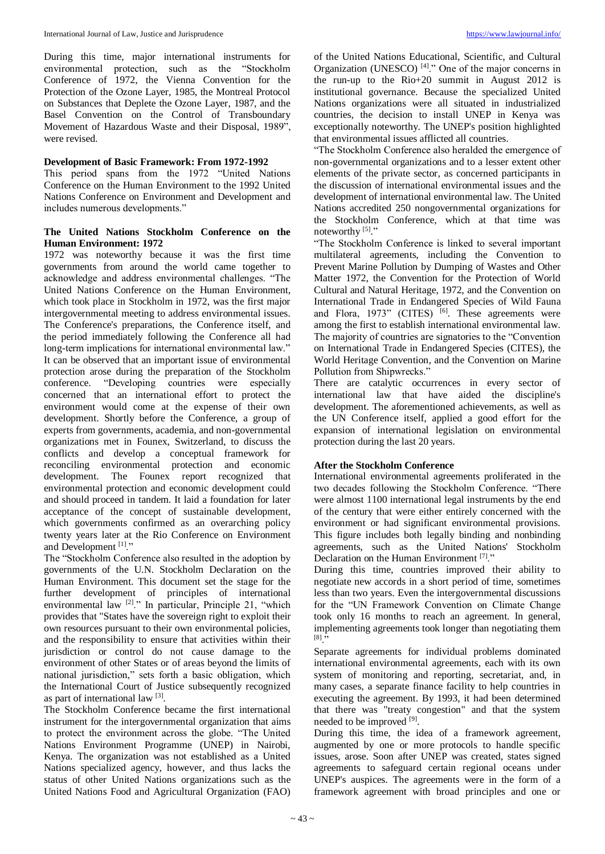During this time, major international instruments for environmental protection, such as the "Stockholm Conference of 1972, the Vienna Convention for the Protection of the Ozone Layer, 1985, the Montreal Protocol on Substances that Deplete the Ozone Layer, 1987, and the Basel Convention on the Control of Transboundary Movement of Hazardous Waste and their Disposal, 1989", were revised.

## **Development of Basic Framework: From 1972-1992**

This period spans from the 1972 "United Nations Conference on the Human Environment to the 1992 United Nations Conference on Environment and Development and includes numerous developments."

## **The United Nations Stockholm Conference on the Human Environment: 1972**

1972 was noteworthy because it was the first time governments from around the world came together to acknowledge and address environmental challenges. "The United Nations Conference on the Human Environment, which took place in Stockholm in 1972, was the first major intergovernmental meeting to address environmental issues. The Conference's preparations, the Conference itself, and the period immediately following the Conference all had long-term implications for international environmental law." It can be observed that an important issue of environmental protection arose during the preparation of the Stockholm conference. "Developing countries were especially "Developing countries were especially concerned that an international effort to protect the environment would come at the expense of their own development. Shortly before the Conference, a group of experts from governments, academia, and non-governmental organizations met in Founex, Switzerland, to discuss the conflicts and develop a conceptual framework for reconciling environmental protection and economic development. The Founex report recognized that environmental protection and economic development could and should proceed in tandem. It laid a foundation for later acceptance of the concept of sustainable development, which governments confirmed as an overarching policy twenty years later at the Rio Conference on Environment and Development<sup>[1]</sup>."

The "Stockholm Conference also resulted in the adoption by governments of the U.N. Stockholm Declaration on the Human Environment. This document set the stage for the further development of principles of international environmental law  $[2]$ ." In particular, Principle 21, "which provides that "States have the sovereign right to exploit their own resources pursuant to their own environmental policies, and the responsibility to ensure that activities within their jurisdiction or control do not cause damage to the environment of other States or of areas beyond the limits of national jurisdiction," sets forth a basic obligation, which the International Court of Justice subsequently recognized as part of international law<sup>[3]</sup>.

The Stockholm Conference became the first international instrument for the intergovernmental organization that aims to protect the environment across the globe. "The United Nations Environment Programme (UNEP) in Nairobi, Kenya. The organization was not established as a United Nations specialized agency, however, and thus lacks the status of other United Nations organizations such as the United Nations Food and Agricultural Organization (FAO)

of the United Nations Educational, Scientific, and Cultural Organization (UNESCO)  $[4]$ ." One of the major concerns in the run-up to the Rio+20 summit in August 2012 is institutional governance. Because the specialized United Nations organizations were all situated in industrialized countries, the decision to install UNEP in Kenya was exceptionally noteworthy. The UNEP's position highlighted that environmental issues afflicted all countries.

"The Stockholm Conference also heralded the emergence of non-governmental organizations and to a lesser extent other elements of the private sector, as concerned participants in the discussion of international environmental issues and the development of international environmental law. The United Nations accredited 250 nongovernmental organizations for the Stockholm Conference, which at that time was noteworthy<sup>[5]</sup>."

"The Stockholm Conference is linked to several important multilateral agreements, including the Convention to Prevent Marine Pollution by Dumping of Wastes and Other Matter 1972, the Convention for the Protection of World Cultural and Natural Heritage, 1972, and the Convention on International Trade in Endangered Species of Wild Fauna and Flora, 1973" (CITES) <sup>[6]</sup>. These agreements were among the first to establish international environmental law. The majority of countries are signatories to the "Convention on International Trade in Endangered Species (CITES), the World Heritage Convention, and the Convention on Marine Pollution from Shipwrecks."

There are catalytic occurrences in every sector of international law that have aided the discipline's development. The aforementioned achievements, as well as the UN Conference itself, applied a good effort for the expansion of international legislation on environmental protection during the last 20 years.

# **After the Stockholm Conference**

International environmental agreements proliferated in the two decades following the Stockholm Conference. "There were almost 1100 international legal instruments by the end of the century that were either entirely concerned with the environment or had significant environmental provisions. This figure includes both legally binding and nonbinding agreements, such as the United Nations' Stockholm Declaration on the Human Environment<sup>[7]</sup>."

During this time, countries improved their ability to negotiate new accords in a short period of time, sometimes less than two years. Even the intergovernmental discussions for the "UN Framework Convention on Climate Change took only 16 months to reach an agreement. In general, implementing agreements took longer than negotiating them  $[8]$ ."

Separate agreements for individual problems dominated international environmental agreements, each with its own system of monitoring and reporting, secretariat, and, in many cases, a separate finance facility to help countries in executing the agreement. By 1993, it had been determined that there was "treaty congestion" and that the system needed to be improved [9].

During this time, the idea of a framework agreement, augmented by one or more protocols to handle specific issues, arose. Soon after UNEP was created, states signed agreements to safeguard certain regional oceans under UNEP's auspices. The agreements were in the form of a framework agreement with broad principles and one or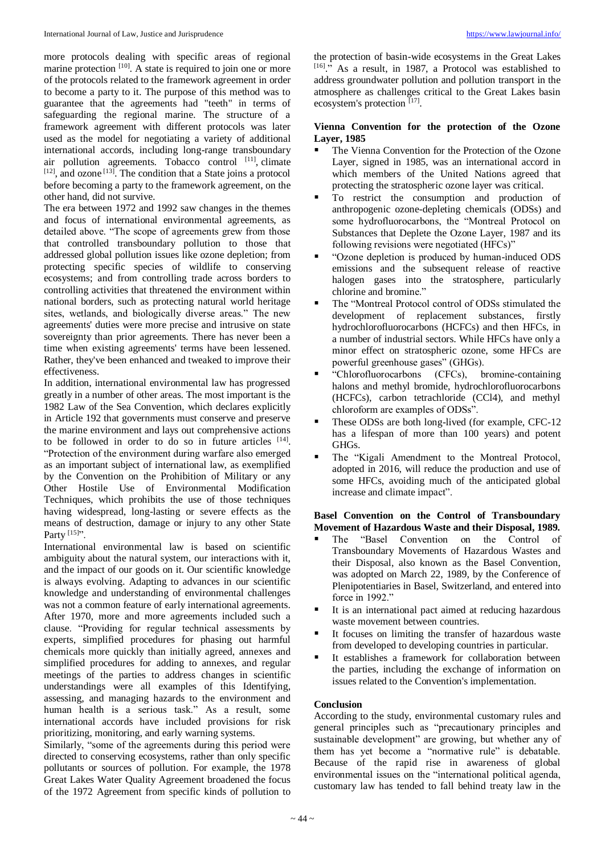more protocols dealing with specific areas of regional marine protection  $[10]$ . A state is required to join one or more of the protocols related to the framework agreement in order to become a party to it. The purpose of this method was to guarantee that the agreements had "teeth" in terms of safeguarding the regional marine. The structure of a framework agreement with different protocols was later used as the model for negotiating a variety of additional international accords, including long-range transboundary air pollution agreements. Tobacco control [11], climate  $[12]$ , and ozone  $[13]$ . The condition that a State joins a protocol before becoming a party to the framework agreement, on the other hand, did not survive.

The era between 1972 and 1992 saw changes in the themes and focus of international environmental agreements, as detailed above. "The scope of agreements grew from those that controlled transboundary pollution to those that addressed global pollution issues like ozone depletion; from protecting specific species of wildlife to conserving ecosystems; and from controlling trade across borders to controlling activities that threatened the environment within national borders, such as protecting natural world heritage sites, wetlands, and biologically diverse areas." The new agreements' duties were more precise and intrusive on state sovereignty than prior agreements. There has never been a time when existing agreements' terms have been lessened. Rather, they've been enhanced and tweaked to improve their effectiveness.

In addition, international environmental law has progressed greatly in a number of other areas. The most important is the 1982 Law of the Sea Convention, which declares explicitly in Article 192 that governments must conserve and preserve the marine environment and lays out comprehensive actions to be followed in order to do so in future articles  $[14]$ . "Protection of the environment during warfare also emerged as an important subject of international law, as exemplified by the Convention on the Prohibition of Military or any Other Hostile Use of Environmental Modification Techniques, which prohibits the use of those techniques having widespread, long-lasting or severe effects as the means of destruction, damage or injury to any other State Party  $^{[15]}$ ".

International environmental law is based on scientific ambiguity about the natural system, our interactions with it, and the impact of our goods on it. Our scientific knowledge is always evolving. Adapting to advances in our scientific knowledge and understanding of environmental challenges was not a common feature of early international agreements. After 1970, more and more agreements included such a clause. "Providing for regular technical assessments by experts, simplified procedures for phasing out harmful chemicals more quickly than initially agreed, annexes and simplified procedures for adding to annexes, and regular meetings of the parties to address changes in scientific understandings were all examples of this Identifying, assessing, and managing hazards to the environment and human health is a serious task." As a result, some international accords have included provisions for risk prioritizing, monitoring, and early warning systems.

Similarly, "some of the agreements during this period were directed to conserving ecosystems, rather than only specific pollutants or sources of pollution. For example, the 1978 Great Lakes Water Quality Agreement broadened the focus of the 1972 Agreement from specific kinds of pollution to

the protection of basin-wide ecosystems in the Great Lakes [16] ." As a result, in 1987, a Protocol was established to address groundwater pollution and pollution transport in the atmosphere as challenges critical to the Great Lakes basin ecosystem's protection [17].

## **Vienna Convention for the protection of the Ozone Layer, 1985**

- The Vienna Convention for the Protection of the Ozone Layer, signed in 1985, was an international accord in which members of the United Nations agreed that protecting the stratospheric ozone layer was critical.
- To restrict the consumption and production of anthropogenic ozone-depleting chemicals (ODSs) and some hydrofluorocarbons, the "Montreal Protocol on Substances that Deplete the Ozone Layer, 1987 and its following revisions were negotiated (HFCs)"
- "Ozone depletion is produced by human-induced ODS emissions and the subsequent release of reactive halogen gases into the stratosphere, particularly chlorine and bromine."
- The "Montreal Protocol control of ODSs stimulated the development of replacement substances, firstly hydrochlorofluorocarbons (HCFCs) and then HFCs, in a number of industrial sectors. While HFCs have only a minor effect on stratospheric ozone, some HFCs are powerful greenhouse gases" (GHGs).
- "Chlorofluorocarbons (CFCs), bromine-containing halons and methyl bromide, hydrochlorofluorocarbons (HCFCs), carbon tetrachloride (CCl4), and methyl chloroform are examples of ODSs".
- These ODSs are both long-lived (for example, CFC-12 has a lifespan of more than 100 years) and potent GHGs.
- The "Kigali Amendment to the Montreal Protocol, adopted in 2016, will reduce the production and use of some HFCs, avoiding much of the anticipated global increase and climate impact".

## **Basel Convention on the Control of Transboundary Movement of Hazardous Waste and their Disposal, 1989.**

- The "Basel Convention on the Control of Transboundary Movements of Hazardous Wastes and their Disposal, also known as the Basel Convention, was adopted on March 22, 1989, by the Conference of Plenipotentiaries in Basel, Switzerland, and entered into force in 1992."
- It is an international pact aimed at reducing hazardous waste movement between countries.
- It focuses on limiting the transfer of hazardous waste from developed to developing countries in particular.
- It establishes a framework for collaboration between the parties, including the exchange of information on issues related to the Convention's implementation.

## **Conclusion**

According to the study, environmental customary rules and general principles such as "precautionary principles and sustainable development" are growing, but whether any of them has yet become a "normative rule" is debatable. Because of the rapid rise in awareness of global environmental issues on the "international political agenda, customary law has tended to fall behind treaty law in the